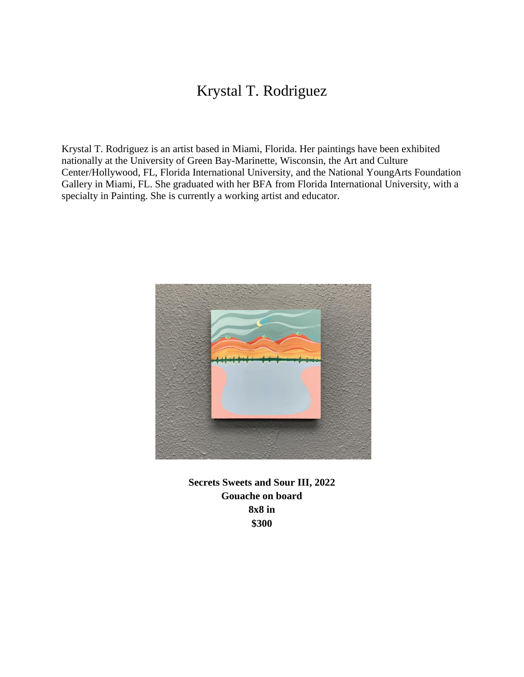## Krystal T. Rodriguez

Krystal T. Rodriguez is an artist based in Miami, Florida. Her paintings have been exhibited nationally at the University of Green Bay-Marinette, Wisconsin, the Art and Culture Center/Hollywood, FL, Florida International University, and the National YoungArts Foundation Gallery in Miami, FL. She graduated with her BFA from Florida International University, with a specialty in Painting. She is currently a working artist and educator.



**Secrets Sweets and Sour III, 2022 Gouache on board 8x8 in \$300**